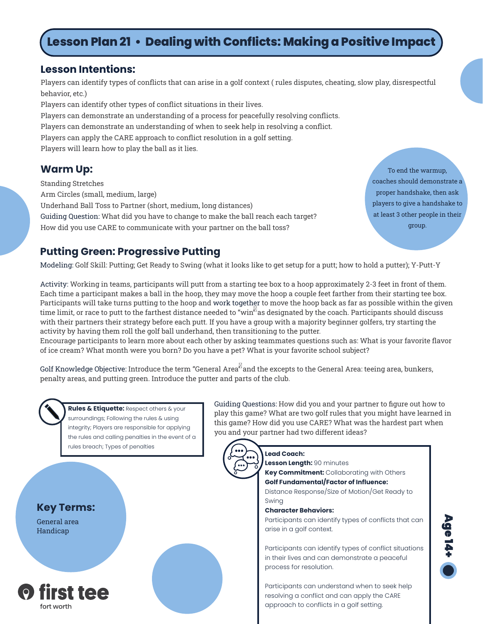# **Lesson Plan 21 • Dealing with Conflicts: Making a Positive Impact**

### **Lesson Intentions:**

Players can identify types of conflicts that can arise in a golf context ( rules disputes, cheating, slow play, disrespectful behavior, etc.)

Players can identify other types of conflict situations in their lives. Players can demonstrate an understanding of a process for peacefully resolving conflicts. Players can demonstrate an understanding of when to seek help in resolving a conflict. Players can apply the CARE approach to conflict resolution in a golf setting. Players will learn how to play the ball as it lies.

Standing Stretches Arm Circles (small, medium, large) Underhand Ball Toss to Partner (short, medium, long distances) Guiding Question: What did you have to change to make the ball reach each target? How did you use CARE to communicate with your partner on the ball toss?

**Warm Up:** To end the warmup, coaches should demonstrate a proper handshake, then ask players to give a handshake to at least 3 other people in their group.

### **Putting Green: Progressive Putting**

Modeling: Golf Skill: Putting; Get Ready to Swing (what it looks like to get setup for a putt; how to hold a putter); Y-Putt-Y

Activity: Working in teams, participants will putt from a starting tee box to a hoop approximately 2-3 feet in front of them. Each time a participant makes a ball in the hoop, they may move the hoop a couple feet farther from their starting tee box. Participants will take turns putting to the hoop and work together to move the hoop back as far as possible within the given time limit, or race to putt to the farthest distance needed to "win ${}^{\%}$ as designated by the coach. Participants should discuss with their partners their strategy before each putt. If you have a group with a majority beginner golfers, try starting the activity by having them roll the golf ball underhand, then transitioning to the putter.

Encourage participants to learn more about each other by asking teammates questions such as: What is your favorite flavor of ice cream? What month were you born? Do you have a pet? What is your favorite school subject?

Golf Knowledge Objective: Introduce the term "General Area $^{\boxtimes}$  and the excepts to the General Area: teeing area, bunkers, penalty areas, and putting green. Introduce the putter and parts of the club.



### **Rules & Etiquette:** Respect others & your surroundings; Following the rules & using integrity; Players are responsible for applying the rules and calling penalties in the event of a rules breach; Types of penalties

**Key Terms:**

General area Handicap



Guiding Questions: How did you and your partner to figure out how to play this game? What are two golf rules that you might have learned in this game? How did you use CARE? What was the hardest part when you and your partner had two different ideas?



#### **Lead Coach:**

**Lesson Length:** 90 minutes

**Key Commitment:** Collaborating with Others **Golf Fundamental/Factor of Influence:**

Distance Response/Size of Motion/Get Ready to Swing

#### **Character Behaviors:**

Participants can identify types of conflicts that can arise in a golf context.

Participants can identify types of conflict situations in their lives and can demonstrate a peaceful process for resolution.

Participants can understand when to seek help resolving a conflict and can apply the CARE approach to conflicts in a golf setting.